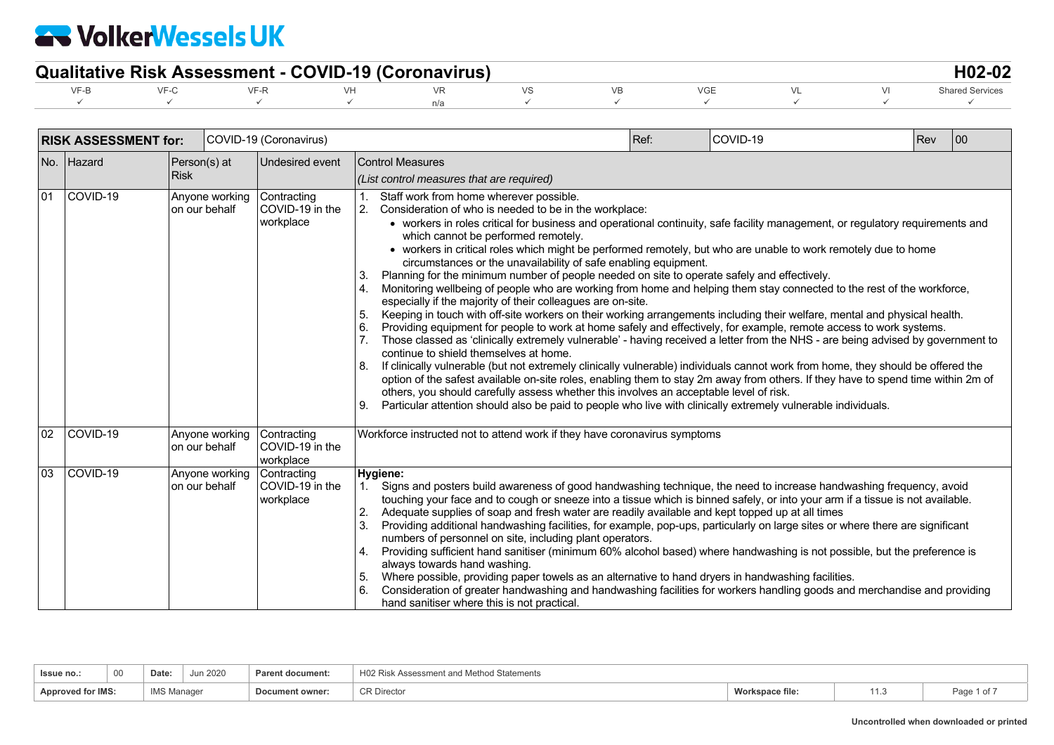| <b>Qualitative Risk Assessment - COVID-19 (Coronavirus)</b> |  |  |  |  |  |  |  |  |  |                   |  |
|-------------------------------------------------------------|--|--|--|--|--|--|--|--|--|-------------------|--|
|                                                             |  |  |  |  |  |  |  |  |  | - Shared Services |  |
|                                                             |  |  |  |  |  |  |  |  |  |                   |  |

|    | <b>RISK ASSESSMENT for:</b> |                             |                | COVID-19 (Coronavirus)                                     |                                                                                                                                                                                                                                                                                                                                                                                                                                                                                                                                                                                                                                                                                                                                                                                                                                                                                                                                                                                                                                                                                                                                                                                                                                                                                                                                                                                                                                                                                                                                                                                                                                                                                                            | Ref: | COVID-19 | Rev | $ 00\rangle$ |  |  |
|----|-----------------------------|-----------------------------|----------------|------------------------------------------------------------|------------------------------------------------------------------------------------------------------------------------------------------------------------------------------------------------------------------------------------------------------------------------------------------------------------------------------------------------------------------------------------------------------------------------------------------------------------------------------------------------------------------------------------------------------------------------------------------------------------------------------------------------------------------------------------------------------------------------------------------------------------------------------------------------------------------------------------------------------------------------------------------------------------------------------------------------------------------------------------------------------------------------------------------------------------------------------------------------------------------------------------------------------------------------------------------------------------------------------------------------------------------------------------------------------------------------------------------------------------------------------------------------------------------------------------------------------------------------------------------------------------------------------------------------------------------------------------------------------------------------------------------------------------------------------------------------------------|------|----------|-----|--------------|--|--|
|    | No. Hazard                  | Person(s) at<br><b>Risk</b> |                | <b>Undesired event</b>                                     | <b>Control Measures</b><br>(List control measures that are required)                                                                                                                                                                                                                                                                                                                                                                                                                                                                                                                                                                                                                                                                                                                                                                                                                                                                                                                                                                                                                                                                                                                                                                                                                                                                                                                                                                                                                                                                                                                                                                                                                                       |      |          |     |              |  |  |
| 01 | COVID-19                    | on our behalf               | Anyone working | Contracting<br>COVID-19 in the<br>workplace                | Staff work from home wherever possible.<br>2. Consideration of who is needed to be in the workplace:<br>• workers in roles critical for business and operational continuity, safe facility management, or regulatory requirements and<br>which cannot be performed remotely.<br>• workers in critical roles which might be performed remotely, but who are unable to work remotely due to home<br>circumstances or the unavailability of safe enabling equipment.<br>Planning for the minimum number of people needed on site to operate safely and effectively.<br>3.<br>Monitoring wellbeing of people who are working from home and helping them stay connected to the rest of the workforce,<br>especially if the majority of their colleagues are on-site.<br>Keeping in touch with off-site workers on their working arrangements including their welfare, mental and physical health.<br>5.<br>6.<br>Providing equipment for people to work at home safely and effectively, for example, remote access to work systems.<br>Those classed as 'clinically extremely vulnerable' - having received a letter from the NHS - are being advised by government to<br>continue to shield themselves at home.<br>If clinically vulnerable (but not extremely clinically vulnerable) individuals cannot work from home, they should be offered the<br>8.<br>option of the safest available on-site roles, enabling them to stay 2m away from others. If they have to spend time within 2m of<br>others, you should carefully assess whether this involves an acceptable level of risk.<br>Particular attention should also be paid to people who live with clinically extremely vulnerable individuals.<br>9. |      |          |     |              |  |  |
| 02 | COVID-19                    | on our behalf               |                | Anyone working Contracting<br>COVID-19 in the<br>workplace | Workforce instructed not to attend work if they have coronavirus symptoms                                                                                                                                                                                                                                                                                                                                                                                                                                                                                                                                                                                                                                                                                                                                                                                                                                                                                                                                                                                                                                                                                                                                                                                                                                                                                                                                                                                                                                                                                                                                                                                                                                  |      |          |     |              |  |  |
| 03 | COVID-19                    | on our behalf               | Anyone working | Contracting<br>COVID-19 in the<br>workplace                | Hygiene:<br>Signs and posters build awareness of good handwashing technique, the need to increase handwashing frequency, avoid<br>$1_{\cdot}$<br>touching your face and to cough or sneeze into a tissue which is binned safely, or into your arm if a tissue is not available.<br>Adequate supplies of soap and fresh water are readily available and kept topped up at all times<br>2.<br>3.<br>Providing additional handwashing facilities, for example, pop-ups, particularly on large sites or where there are significant<br>numbers of personnel on site, including plant operators.<br>Providing sufficient hand sanitiser (minimum 60% alcohol based) where handwashing is not possible, but the preference is<br>4.<br>always towards hand washing.<br>Where possible, providing paper towels as an alternative to hand dryers in handwashing facilities.<br>5.<br>6.<br>Consideration of greater handwashing and handwashing facilities for workers handling goods and merchandise and providing<br>hand sanitiser where this is not practical.                                                                                                                                                                                                                                                                                                                                                                                                                                                                                                                                                                                                                                                 |      |          |     |              |  |  |

| Issue no.:               | 00 | Date               | Jun 2020 | <b>Parent document:</b> | H02 Risk Assessment and Method Statements |                 |                |
|--------------------------|----|--------------------|----------|-------------------------|-------------------------------------------|-----------------|----------------|
| <b>Approved for IMS:</b> |    | <b>IMS Manager</b> |          | Document owner:         | <sup>R</sup> Director                     | Workspace file. | Page<br>1 of . |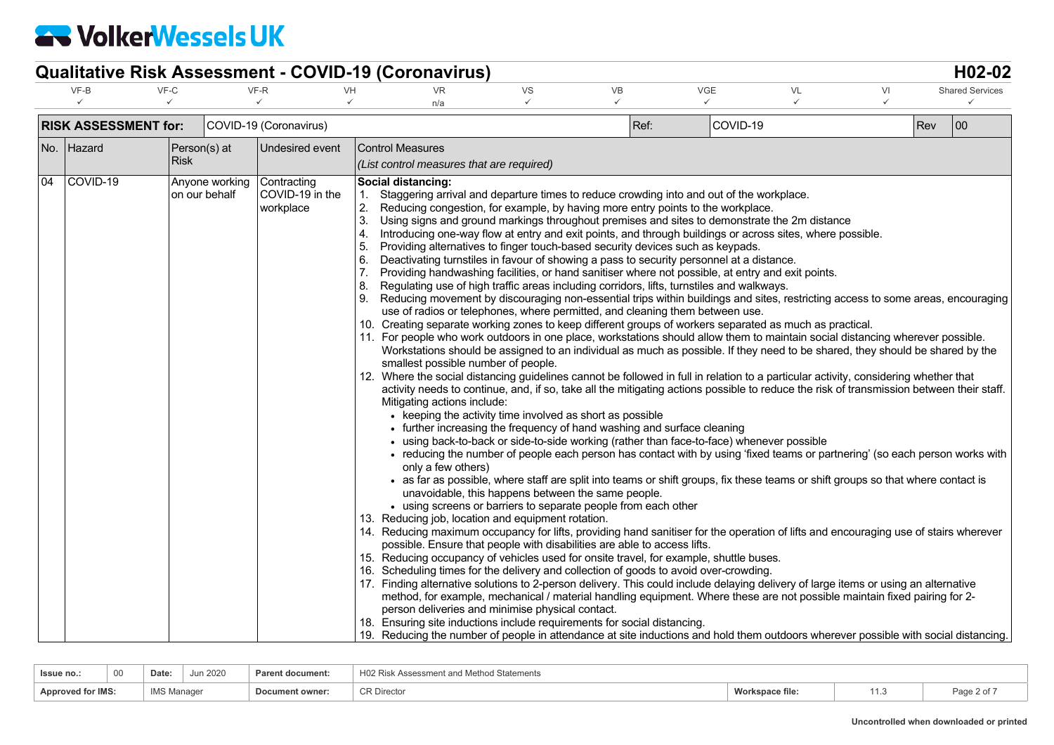|     |                             |                                 |                                             | <b>Qualitative Risk Assessment - COVID-19 (Coronavirus)</b>                                                                                                                                                                                                                                                                                                                                                                                                                                                                                                                                                                                                                                                                                                                                                                                                                                                                                                                                                                                                                                                                                                                                                                                                                                          |                                                                                                        |                                                                                                                                                                                                                                                                                                                                                                                                                                                                                                                                                                                                                                                                                                                                                                                                                                                                                                                                                                                                                                                                                                                                                                                                                                                                                                                                                                                                                                                                                                                                                                                                                                                                                                                                                                                                                                                                                                                                                                                                                                                              |                            |         |                    |            | H02-02                 |
|-----|-----------------------------|---------------------------------|---------------------------------------------|------------------------------------------------------------------------------------------------------------------------------------------------------------------------------------------------------------------------------------------------------------------------------------------------------------------------------------------------------------------------------------------------------------------------------------------------------------------------------------------------------------------------------------------------------------------------------------------------------------------------------------------------------------------------------------------------------------------------------------------------------------------------------------------------------------------------------------------------------------------------------------------------------------------------------------------------------------------------------------------------------------------------------------------------------------------------------------------------------------------------------------------------------------------------------------------------------------------------------------------------------------------------------------------------------|--------------------------------------------------------------------------------------------------------|--------------------------------------------------------------------------------------------------------------------------------------------------------------------------------------------------------------------------------------------------------------------------------------------------------------------------------------------------------------------------------------------------------------------------------------------------------------------------------------------------------------------------------------------------------------------------------------------------------------------------------------------------------------------------------------------------------------------------------------------------------------------------------------------------------------------------------------------------------------------------------------------------------------------------------------------------------------------------------------------------------------------------------------------------------------------------------------------------------------------------------------------------------------------------------------------------------------------------------------------------------------------------------------------------------------------------------------------------------------------------------------------------------------------------------------------------------------------------------------------------------------------------------------------------------------------------------------------------------------------------------------------------------------------------------------------------------------------------------------------------------------------------------------------------------------------------------------------------------------------------------------------------------------------------------------------------------------------------------------------------------------------------------------------------------------|----------------------------|---------|--------------------|------------|------------------------|
|     | VF-B<br>$\checkmark$        | VF-C                            | VF-R<br>$\checkmark$                        | VH<br><b>VR</b><br>$\checkmark$<br>n/a                                                                                                                                                                                                                                                                                                                                                                                                                                                                                                                                                                                                                                                                                                                                                                                                                                                                                                                                                                                                                                                                                                                                                                                                                                                               | VS<br>$\checkmark$                                                                                     | <b>VB</b><br>$\checkmark$                                                                                                                                                                                                                                                                                                                                                                                                                                                                                                                                                                                                                                                                                                                                                                                                                                                                                                                                                                                                                                                                                                                                                                                                                                                                                                                                                                                                                                                                                                                                                                                                                                                                                                                                                                                                                                                                                                                                                                                                                                    | <b>VGE</b><br>$\checkmark$ | VL<br>✓ | VI<br>$\checkmark$ |            | <b>Shared Services</b> |
|     | <b>RISK ASSESSMENT for:</b> |                                 | COVID-19 (Coronavirus)                      |                                                                                                                                                                                                                                                                                                                                                                                                                                                                                                                                                                                                                                                                                                                                                                                                                                                                                                                                                                                                                                                                                                                                                                                                                                                                                                      |                                                                                                        | Ref:                                                                                                                                                                                                                                                                                                                                                                                                                                                                                                                                                                                                                                                                                                                                                                                                                                                                                                                                                                                                                                                                                                                                                                                                                                                                                                                                                                                                                                                                                                                                                                                                                                                                                                                                                                                                                                                                                                                                                                                                                                                         | COVID-19                   |         |                    | <b>Rev</b> | 00                     |
| No. | Hazard                      | Person(s) at<br><b>Risk</b>     | Undesired event                             | <b>Control Measures</b><br>(List control measures that are required)                                                                                                                                                                                                                                                                                                                                                                                                                                                                                                                                                                                                                                                                                                                                                                                                                                                                                                                                                                                                                                                                                                                                                                                                                                 |                                                                                                        |                                                                                                                                                                                                                                                                                                                                                                                                                                                                                                                                                                                                                                                                                                                                                                                                                                                                                                                                                                                                                                                                                                                                                                                                                                                                                                                                                                                                                                                                                                                                                                                                                                                                                                                                                                                                                                                                                                                                                                                                                                                              |                            |         |                    |            |                        |
| 04  | COVID-19                    | Anyone working<br>on our behalf | Contracting<br>COVID-19 in the<br>workplace | Social distancing:<br>1.<br>2.<br>3.<br>4.<br>5.<br>6.<br>7.<br>8.<br>9.<br>10. Creating separate working zones to keep different groups of workers separated as much as practical.<br>11. For people who work outdoors in one place, workstations should allow them to maintain social distancing wherever possible.<br>smallest possible number of people.<br>12. Where the social distancing guidelines cannot be followed in full in relation to a particular activity, considering whether that<br>Mitigating actions include:<br>only a few others)<br>13. Reducing job, location and equipment rotation.<br>14. Reducing maximum occupancy for lifts, providing hand sanitiser for the operation of lifts and encouraging use of stairs wherever<br>15. Reducing occupancy of vehicles used for onsite travel, for example, shuttle buses.<br>16. Scheduling times for the delivery and collection of goods to avoid over-crowding.<br>17. Finding alternative solutions to 2-person delivery. This could include delaying delivery of large items or using an alternative<br>18. Ensuring site inductions include requirements for social distancing.<br>19. Reducing the number of people in attendance at site inductions and hold them outdoors wherever possible with social distancing. | unavoidable, this happens between the same people.<br>person deliveries and minimise physical contact. | Staggering arrival and departure times to reduce crowding into and out of the workplace.<br>Reducing congestion, for example, by having more entry points to the workplace.<br>Using signs and ground markings throughout premises and sites to demonstrate the 2m distance<br>Introducing one-way flow at entry and exit points, and through buildings or across sites, where possible.<br>Providing alternatives to finger touch-based security devices such as keypads.<br>Deactivating turnstiles in favour of showing a pass to security personnel at a distance.<br>Providing handwashing facilities, or hand sanitiser where not possible, at entry and exit points.<br>Regulating use of high traffic areas including corridors, lifts, turnstiles and walkways.<br>Reducing movement by discouraging non-essential trips within buildings and sites, restricting access to some areas, encouraging<br>use of radios or telephones, where permitted, and cleaning them between use.<br>Workstations should be assigned to an individual as much as possible. If they need to be shared, they should be shared by the<br>activity needs to continue, and, if so, take all the mitigating actions possible to reduce the risk of transmission between their staff.<br>• keeping the activity time involved as short as possible<br>• further increasing the frequency of hand washing and surface cleaning<br>• using back-to-back or side-to-side working (rather than face-to-face) whenever possible<br>• reducing the number of people each person has contact with by using 'fixed teams or partnering' (so each person works with<br>• as far as possible, where staff are split into teams or shift groups, fix these teams or shift groups so that where contact is<br>• using screens or barriers to separate people from each other<br>possible. Ensure that people with disabilities are able to access lifts.<br>method, for example, mechanical / material handling equipment. Where these are not possible maintain fixed pairing for 2- |                            |         |                    |            |                        |

| Issue no.:               | 00 | Date:              | Jun 2020 | Parent document: | H02 Risk Assessment and Method Statements |                 |     |           |
|--------------------------|----|--------------------|----------|------------------|-------------------------------------------|-----------------|-----|-----------|
| <b>Approved for IMS:</b> |    | <b>IMS Manager</b> |          | Document owner:  | <sup>o</sup> R Director                   | Workspace file. | ن ا | Page 2 or |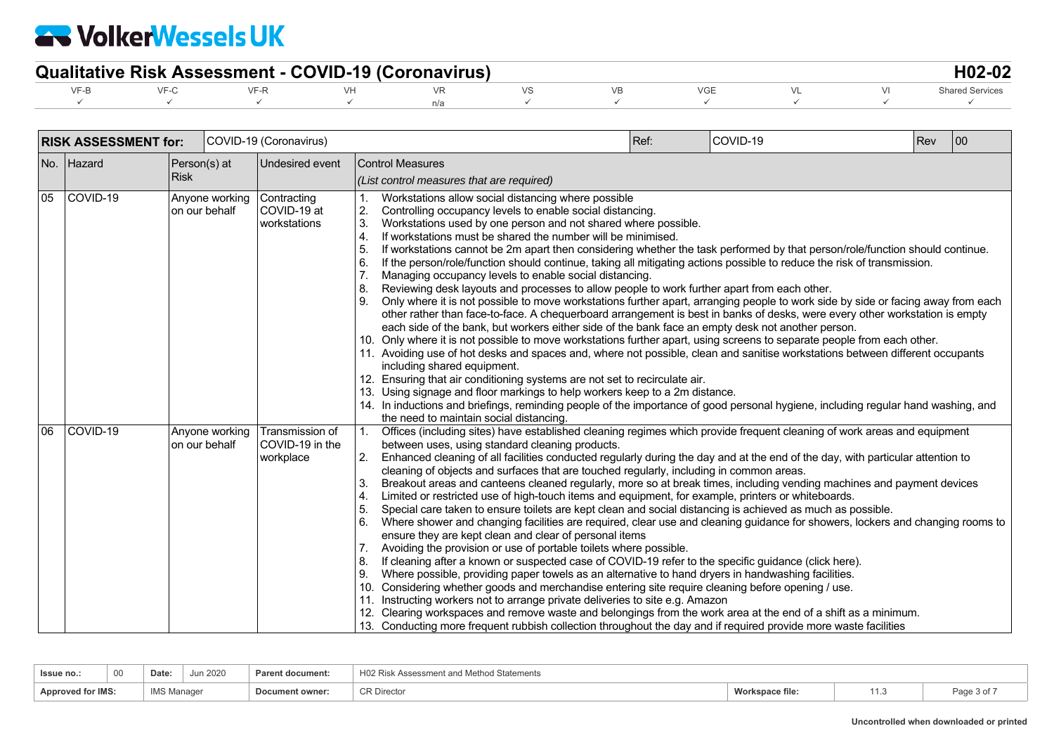| <b>Qualitative Risk Assessment - COVID-19 (Coronavirus)</b> |  |  |  |  |  |  |  |  |  |  |  |  |
|-------------------------------------------------------------|--|--|--|--|--|--|--|--|--|--|--|--|
|                                                             |  |  |  |  |  |  |  |  |  |  |  |  |
|                                                             |  |  |  |  |  |  |  |  |  |  |  |  |

|    | <b>RISK ASSESSMENT for:</b> |             |                                 | COVID-19 (Coronavirus)                          |                                        |                                                                                                                                                                                                                                                                                                                                                                                                                                                                                                                                                                                                                                                                                                                                                                                                                                                                                                                                                                                                                                                                                                                                                                                                                                                                                                                                                                                                                                                                                                                                                                                                                                                             | Ref: | COVID-19 | Rev | 00 |  |
|----|-----------------------------|-------------|---------------------------------|-------------------------------------------------|----------------------------------------|-------------------------------------------------------------------------------------------------------------------------------------------------------------------------------------------------------------------------------------------------------------------------------------------------------------------------------------------------------------------------------------------------------------------------------------------------------------------------------------------------------------------------------------------------------------------------------------------------------------------------------------------------------------------------------------------------------------------------------------------------------------------------------------------------------------------------------------------------------------------------------------------------------------------------------------------------------------------------------------------------------------------------------------------------------------------------------------------------------------------------------------------------------------------------------------------------------------------------------------------------------------------------------------------------------------------------------------------------------------------------------------------------------------------------------------------------------------------------------------------------------------------------------------------------------------------------------------------------------------------------------------------------------------|------|----------|-----|----|--|
|    | No. Hazard                  | <b>Risk</b> | Person(s) at                    | Undesired event                                 |                                        | <b>Control Measures</b><br>(List control measures that are required)                                                                                                                                                                                                                                                                                                                                                                                                                                                                                                                                                                                                                                                                                                                                                                                                                                                                                                                                                                                                                                                                                                                                                                                                                                                                                                                                                                                                                                                                                                                                                                                        |      |          |     |    |  |
| 05 | <b>COVID-19</b>             |             | Anyone working<br>on our behalf | Contracting<br>COVID-19 at<br>workstations      | 2.<br>3.<br>4.<br>5.<br>6.<br>8.<br>9. | Controlling occupancy levels to enable social distancing.<br>Workstations used by one person and not shared where possible.<br>If workstations must be shared the number will be minimised.<br>If workstations cannot be 2m apart then considering whether the task performed by that person/role/function should continue.<br>If the person/role/function should continue, taking all mitigating actions possible to reduce the risk of transmission.<br>Managing occupancy levels to enable social distancing.<br>Reviewing desk layouts and processes to allow people to work further apart from each other.<br>Only where it is not possible to move workstations further apart, arranging people to work side by side or facing away from each<br>other rather than face-to-face. A chequerboard arrangement is best in banks of desks, were every other workstation is empty<br>each side of the bank, but workers either side of the bank face an empty desk not another person.<br>10. Only where it is not possible to move workstations further apart, using screens to separate people from each other.<br>11. Avoiding use of hot desks and spaces and, where not possible, clean and sanitise workstations between different occupants<br>including shared equipment.<br>12. Ensuring that air conditioning systems are not set to recirculate air.<br>13. Using signage and floor markings to help workers keep to a 2m distance.<br>14. In inductions and briefings, reminding people of the importance of good personal hygiene, including regular hand washing, and<br>the need to maintain social distancing.                             |      |          |     |    |  |
| 06 | COVID-19                    |             | Anyone working<br>on our behalf | Transmission of<br>COVID-19 in the<br>workplace | 1.<br>2.<br>3.<br>5.<br>6.<br>7.<br>9. | Offices (including sites) have established cleaning regimes which provide frequent cleaning of work areas and equipment<br>between uses, using standard cleaning products.<br>Enhanced cleaning of all facilities conducted regularly during the day and at the end of the day, with particular attention to<br>cleaning of objects and surfaces that are touched regularly, including in common areas.<br>Breakout areas and canteens cleaned regularly, more so at break times, including vending machines and payment devices<br>Limited or restricted use of high-touch items and equipment, for example, printers or whiteboards.<br>Special care taken to ensure toilets are kept clean and social distancing is achieved as much as possible.<br>Where shower and changing facilities are required, clear use and cleaning guidance for showers, lockers and changing rooms to<br>ensure they are kept clean and clear of personal items<br>Avoiding the provision or use of portable toilets where possible.<br>If cleaning after a known or suspected case of COVID-19 refer to the specific guidance (click here).<br>Where possible, providing paper towels as an alternative to hand dryers in handwashing facilities.<br>10. Considering whether goods and merchandise entering site require cleaning before opening / use.<br>Instructing workers not to arrange private deliveries to site e.g. Amazon<br>12. Clearing workspaces and remove waste and belongings from the work area at the end of a shift as a minimum.<br>13. Conducting more frequent rubbish collection throughout the day and if required provide more waste facilities |      |          |     |    |  |

| 00<br>Issue no.:         | Jun $202o$<br>Date | <b>Parent document:</b> | H02 Risk Assessment<br>t and Method Statements |                 |              |
|--------------------------|--------------------|-------------------------|------------------------------------------------|-----------------|--------------|
| <b>Approved for IMS:</b> | <b>IMS Manager</b> | Document owner:         | <b>CR Director</b>                             | Workspace file: | Page<br>930, |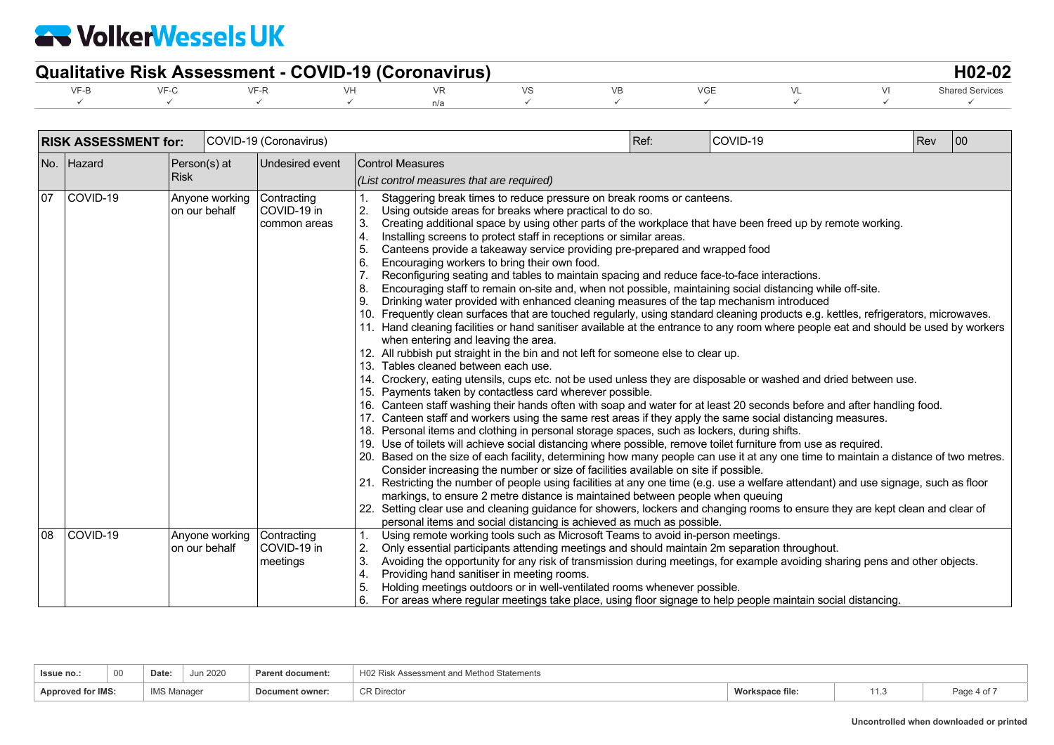| <b>Qualitative Risk Assessment - COVID-19 (Coronavirus)</b> |  |  |  |  |  |  |  |  |  |                        |  |
|-------------------------------------------------------------|--|--|--|--|--|--|--|--|--|------------------------|--|
|                                                             |  |  |  |  |  |  |  |  |  | <b>Shared Services</b> |  |
|                                                             |  |  |  |  |  |  |  |  |  |                        |  |

|    | <b>RISK ASSESSMENT for:</b> |               |                | COVID-19 (Coronavirus)                     |                                        |                                                                                                                                                                                                                                                                                                                                                                                                                                                                                                                                                                                                                                                                                                                                                                                                                                                                                                                                                                                                                                                                                                                                                                                                                                                                                                                                                                                                                                                                                                                                                                                                                                                                                                                                                                                                                                                                                                                                                                                                                                                                                                                                                                                                                                                                                                                                                                                                                                                                                                                               | Ref: | COVID-19 | Rev | 00 |
|----|-----------------------------|---------------|----------------|--------------------------------------------|----------------------------------------|-------------------------------------------------------------------------------------------------------------------------------------------------------------------------------------------------------------------------------------------------------------------------------------------------------------------------------------------------------------------------------------------------------------------------------------------------------------------------------------------------------------------------------------------------------------------------------------------------------------------------------------------------------------------------------------------------------------------------------------------------------------------------------------------------------------------------------------------------------------------------------------------------------------------------------------------------------------------------------------------------------------------------------------------------------------------------------------------------------------------------------------------------------------------------------------------------------------------------------------------------------------------------------------------------------------------------------------------------------------------------------------------------------------------------------------------------------------------------------------------------------------------------------------------------------------------------------------------------------------------------------------------------------------------------------------------------------------------------------------------------------------------------------------------------------------------------------------------------------------------------------------------------------------------------------------------------------------------------------------------------------------------------------------------------------------------------------------------------------------------------------------------------------------------------------------------------------------------------------------------------------------------------------------------------------------------------------------------------------------------------------------------------------------------------------------------------------------------------------------------------------------------------------|------|----------|-----|----|
|    | No. Hazard                  | Person(s) at  |                | Undesired event                            |                                        | <b>Control Measures</b>                                                                                                                                                                                                                                                                                                                                                                                                                                                                                                                                                                                                                                                                                                                                                                                                                                                                                                                                                                                                                                                                                                                                                                                                                                                                                                                                                                                                                                                                                                                                                                                                                                                                                                                                                                                                                                                                                                                                                                                                                                                                                                                                                                                                                                                                                                                                                                                                                                                                                                       |      |          |     |    |
|    |                             | <b>Risk</b>   |                |                                            |                                        | (List control measures that are required)                                                                                                                                                                                                                                                                                                                                                                                                                                                                                                                                                                                                                                                                                                                                                                                                                                                                                                                                                                                                                                                                                                                                                                                                                                                                                                                                                                                                                                                                                                                                                                                                                                                                                                                                                                                                                                                                                                                                                                                                                                                                                                                                                                                                                                                                                                                                                                                                                                                                                     |      |          |     |    |
| 07 | COVID-19                    | on our behalf | Anyone working | Contracting<br>COVID-19 in<br>common areas | 2.<br>3.<br>4.<br>6.<br>8.<br>9.       | Staggering break times to reduce pressure on break rooms or canteens.<br>Using outside areas for breaks where practical to do so.<br>Creating additional space by using other parts of the workplace that have been freed up by remote working.<br>Installing screens to protect staff in receptions or similar areas.<br>Canteens provide a takeaway service providing pre-prepared and wrapped food<br>Encouraging workers to bring their own food.<br>Reconfiguring seating and tables to maintain spacing and reduce face-to-face interactions.<br>Encouraging staff to remain on-site and, when not possible, maintaining social distancing while off-site.<br>Drinking water provided with enhanced cleaning measures of the tap mechanism introduced<br>10. Frequently clean surfaces that are touched regularly, using standard cleaning products e.g. kettles, refrigerators, microwaves.<br>11. Hand cleaning facilities or hand sanitiser available at the entrance to any room where people eat and should be used by workers<br>when entering and leaving the area.<br>12. All rubbish put straight in the bin and not left for someone else to clear up.<br>13. Tables cleaned between each use.<br>14. Crockery, eating utensils, cups etc. not be used unless they are disposable or washed and dried between use.<br>15. Payments taken by contactless card wherever possible.<br>16. Canteen staff washing their hands often with soap and water for at least 20 seconds before and after handling food.<br>17. Canteen staff and workers using the same rest areas if they apply the same social distancing measures.<br>18. Personal items and clothing in personal storage spaces, such as lockers, during shifts.<br>19. Use of toilets will achieve social distancing where possible, remove toilet furniture from use as required.<br>20. Based on the size of each facility, determining how many people can use it at any one time to maintain a distance of two metres.<br>Consider increasing the number or size of facilities available on site if possible.<br>21. Restricting the number of people using facilities at any one time (e.g. use a welfare attendant) and use signage, such as floor<br>markings, to ensure 2 metre distance is maintained between people when queuing<br>22. Setting clear use and cleaning guidance for showers, lockers and changing rooms to ensure they are kept clean and clear of<br>personal items and social distancing is achieved as much as possible. |      |          |     |    |
| 08 | COVID-19                    | on our behalf | Anyone working | Contracting<br>COVID-19 in<br>meetings     | $\mathbf{1}$ .<br>2.<br>3.<br>4.<br>6. | Using remote working tools such as Microsoft Teams to avoid in-person meetings.<br>Only essential participants attending meetings and should maintain 2m separation throughout.<br>Avoiding the opportunity for any risk of transmission during meetings, for example avoiding sharing pens and other objects.<br>Providing hand sanitiser in meeting rooms.<br>Holding meetings outdoors or in well-ventilated rooms whenever possible.<br>For areas where regular meetings take place, using floor signage to help people maintain social distancing.                                                                                                                                                                                                                                                                                                                                                                                                                                                                                                                                                                                                                                                                                                                                                                                                                                                                                                                                                                                                                                                                                                                                                                                                                                                                                                                                                                                                                                                                                                                                                                                                                                                                                                                                                                                                                                                                                                                                                                       |      |          |     |    |

| Issue no.:<br>the contract of the contract of the contract of | 00 |             | un 2020 | <b>Parent document:</b> | Method Statements<br>Y Assessment and |          |       |             |
|---------------------------------------------------------------|----|-------------|---------|-------------------------|---------------------------------------|----------|-------|-------------|
| <b>Approved for IMS:</b>                                      |    | I N A C N A |         | Doc<br>owner            | <sup>o</sup> R Director               | orksbace | ی این | Page<br>UI. |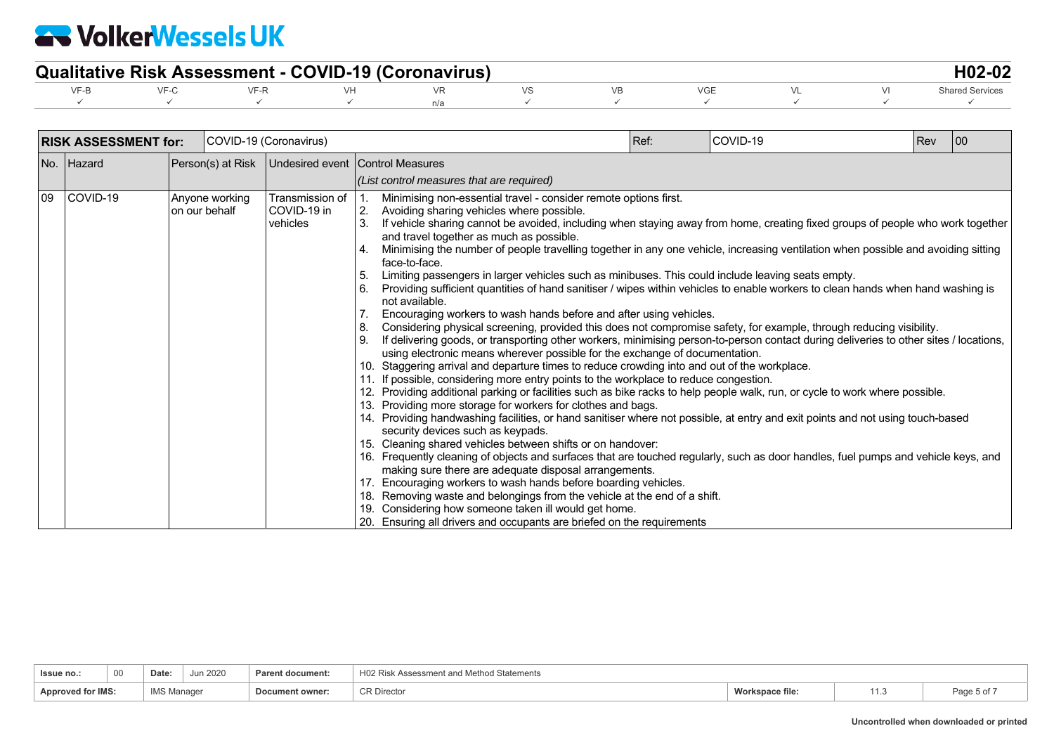| <b>Qualitative Risk Assessment - COVID-19 (Coronavirus)</b> |  |  |  |  |  |  |  |  |  |  |  |
|-------------------------------------------------------------|--|--|--|--|--|--|--|--|--|--|--|
|                                                             |  |  |  |  |  |  |  |  |  |  |  |
|                                                             |  |  |  |  |  |  |  |  |  |  |  |

|      | <b>RISK ASSESSMENT for:</b> |  |                                 | COVID-19 (Coronavirus)                     |                                           |                                                                                                                                                                                                                                                                                                                                                                                                                                                                                                                                                                                                                                                                                                                                                                                                                                                                                                                                                                                                                                                                                                                                                                                                                                                                                                                                                                                                                                                                                                                                                                                                                                                                                                                                                                                                                                                                                                                                                                                                                                                                                                                                                                                                                                                   | Ref: | COVID-19 | Rev | 00 |  |  |
|------|-----------------------------|--|---------------------------------|--------------------------------------------|-------------------------------------------|---------------------------------------------------------------------------------------------------------------------------------------------------------------------------------------------------------------------------------------------------------------------------------------------------------------------------------------------------------------------------------------------------------------------------------------------------------------------------------------------------------------------------------------------------------------------------------------------------------------------------------------------------------------------------------------------------------------------------------------------------------------------------------------------------------------------------------------------------------------------------------------------------------------------------------------------------------------------------------------------------------------------------------------------------------------------------------------------------------------------------------------------------------------------------------------------------------------------------------------------------------------------------------------------------------------------------------------------------------------------------------------------------------------------------------------------------------------------------------------------------------------------------------------------------------------------------------------------------------------------------------------------------------------------------------------------------------------------------------------------------------------------------------------------------------------------------------------------------------------------------------------------------------------------------------------------------------------------------------------------------------------------------------------------------------------------------------------------------------------------------------------------------------------------------------------------------------------------------------------------------|------|----------|-----|----|--|--|
|      | No. Hazard                  |  | Person(s) at Risk               |                                            | Undesired event Control Measures          |                                                                                                                                                                                                                                                                                                                                                                                                                                                                                                                                                                                                                                                                                                                                                                                                                                                                                                                                                                                                                                                                                                                                                                                                                                                                                                                                                                                                                                                                                                                                                                                                                                                                                                                                                                                                                                                                                                                                                                                                                                                                                                                                                                                                                                                   |      |          |     |    |  |  |
|      |                             |  |                                 |                                            | (List control measures that are required) |                                                                                                                                                                                                                                                                                                                                                                                                                                                                                                                                                                                                                                                                                                                                                                                                                                                                                                                                                                                                                                                                                                                                                                                                                                                                                                                                                                                                                                                                                                                                                                                                                                                                                                                                                                                                                                                                                                                                                                                                                                                                                                                                                                                                                                                   |      |          |     |    |  |  |
| l 09 | COVID-19                    |  | Anyone working<br>on our behalf | Transmission of<br>COVID-19 in<br>vehicles | 2.<br>3.<br>5.<br>6.<br>9.                | Minimising non-essential travel - consider remote options first.<br>Avoiding sharing vehicles where possible.<br>If vehicle sharing cannot be avoided, including when staying away from home, creating fixed groups of people who work together<br>and travel together as much as possible.<br>Minimising the number of people travelling together in any one vehicle, increasing ventilation when possible and avoiding sitting<br>face-to-face.<br>Limiting passengers in larger vehicles such as minibuses. This could include leaving seats empty.<br>Providing sufficient quantities of hand sanitiser / wipes within vehicles to enable workers to clean hands when hand washing is<br>not available.<br>Encouraging workers to wash hands before and after using vehicles.<br>Considering physical screening, provided this does not compromise safety, for example, through reducing visibility.<br>If delivering goods, or transporting other workers, minimising person-to-person contact during deliveries to other sites / locations,<br>using electronic means wherever possible for the exchange of documentation.<br>10. Staggering arrival and departure times to reduce crowding into and out of the workplace.<br>11. If possible, considering more entry points to the workplace to reduce congestion.<br>12. Providing additional parking or facilities such as bike racks to help people walk, run, or cycle to work where possible.<br>13. Providing more storage for workers for clothes and bags.<br>14. Providing handwashing facilities, or hand sanitiser where not possible, at entry and exit points and not using touch-based<br>security devices such as keypads.<br>15. Cleaning shared vehicles between shifts or on handover:<br>16. Frequently cleaning of objects and surfaces that are touched regularly, such as door handles, fuel pumps and vehicle keys, and<br>making sure there are adequate disposal arrangements.<br>17. Encouraging workers to wash hands before boarding vehicles.<br>18. Removing waste and belongings from the vehicle at the end of a shift.<br>19. Considering how someone taken ill would get home.<br>20. Ensuring all drivers and occupants are briefed on the requirements |      |          |     |    |  |  |

| Issue no                 | 00 | <b>Date</b>        | Jun 2020 | <b>Parent document:</b> | H02 Risk Assessment and<br>H Method Statements |                |   |             |
|--------------------------|----|--------------------|----------|-------------------------|------------------------------------------------|----------------|---|-------------|
| <b>Approved for IMS:</b> |    | <b>IMS Manager</b> |          | Document owner:         | <sup>^</sup> R Director                        | orkspace file: | . | Page 5 of . |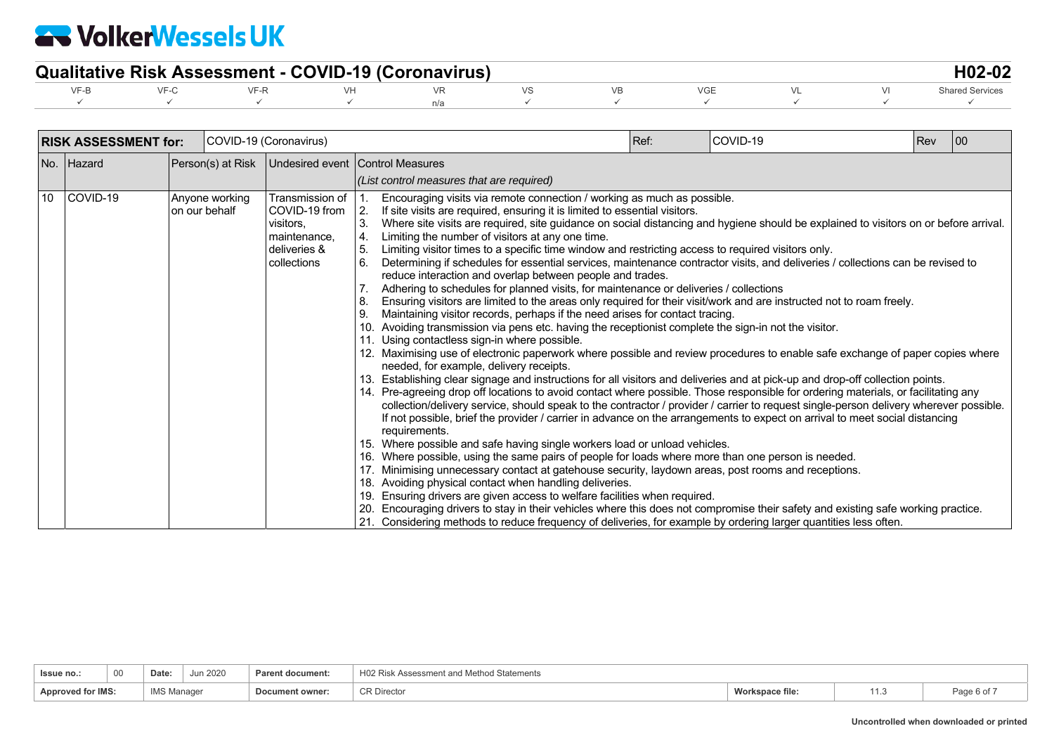| <b>Qualitative Risk Assessment - COVID-19 (Coronavirus)</b> |  |  |  |  |  |  |  |  |  |                        |  |
|-------------------------------------------------------------|--|--|--|--|--|--|--|--|--|------------------------|--|
|                                                             |  |  |  |  |  |  |  |  |  | <b>Shared Services</b> |  |
|                                                             |  |  |  |  |  |  |  |  |  |                        |  |

|                 | <b>RISK ASSESSMENT for:</b> |                                  | COVID-19 (Coronavirus)                                                                       |                                           |                                                                                                                                                                                                                                                                                                                                                                                                                                                                                                                                                                                                                                                                                                                                                                                                                                                                                                                                                                                                                                                                                                                                                                                                                                                                                                                                                                                                                                                                                                                                                                                                                                                                                                                                                                                                                                                                                                                                                                                                                                                                                                                                                                                                                                                                                                                                                                                                                                                                                                                                                 | Ref: | COVID-19 | Rev | 100 |  |  |
|-----------------|-----------------------------|----------------------------------|----------------------------------------------------------------------------------------------|-------------------------------------------|-------------------------------------------------------------------------------------------------------------------------------------------------------------------------------------------------------------------------------------------------------------------------------------------------------------------------------------------------------------------------------------------------------------------------------------------------------------------------------------------------------------------------------------------------------------------------------------------------------------------------------------------------------------------------------------------------------------------------------------------------------------------------------------------------------------------------------------------------------------------------------------------------------------------------------------------------------------------------------------------------------------------------------------------------------------------------------------------------------------------------------------------------------------------------------------------------------------------------------------------------------------------------------------------------------------------------------------------------------------------------------------------------------------------------------------------------------------------------------------------------------------------------------------------------------------------------------------------------------------------------------------------------------------------------------------------------------------------------------------------------------------------------------------------------------------------------------------------------------------------------------------------------------------------------------------------------------------------------------------------------------------------------------------------------------------------------------------------------------------------------------------------------------------------------------------------------------------------------------------------------------------------------------------------------------------------------------------------------------------------------------------------------------------------------------------------------------------------------------------------------------------------------------------------------|------|----------|-----|-----|--|--|
|                 | No. Hazard                  | Person(s) at Risk                |                                                                                              | Undesired event Control Measures          |                                                                                                                                                                                                                                                                                                                                                                                                                                                                                                                                                                                                                                                                                                                                                                                                                                                                                                                                                                                                                                                                                                                                                                                                                                                                                                                                                                                                                                                                                                                                                                                                                                                                                                                                                                                                                                                                                                                                                                                                                                                                                                                                                                                                                                                                                                                                                                                                                                                                                                                                                 |      |          |     |     |  |  |
|                 |                             |                                  |                                                                                              | (List control measures that are required) |                                                                                                                                                                                                                                                                                                                                                                                                                                                                                                                                                                                                                                                                                                                                                                                                                                                                                                                                                                                                                                                                                                                                                                                                                                                                                                                                                                                                                                                                                                                                                                                                                                                                                                                                                                                                                                                                                                                                                                                                                                                                                                                                                                                                                                                                                                                                                                                                                                                                                                                                                 |      |          |     |     |  |  |
| 10 <sup>°</sup> | COVID-19                    | Anyone working<br>Ion our behalf | Transmission of<br>COVID-19 from<br>visitors.<br>maintenance.<br>deliveries &<br>collections | 2.<br>3.<br>4.<br>5.<br>6.<br>9.          | Encouraging visits via remote connection / working as much as possible.<br>If site visits are required, ensuring it is limited to essential visitors.<br>Where site visits are required, site guidance on social distancing and hygiene should be explained to visitors on or before arrival.<br>Limiting the number of visitors at any one time.<br>Limiting visitor times to a specific time window and restricting access to required visitors only.<br>Determining if schedules for essential services, maintenance contractor visits, and deliveries / collections can be revised to<br>reduce interaction and overlap between people and trades.<br>Adhering to schedules for planned visits, for maintenance or deliveries / collections<br>Ensuring visitors are limited to the areas only required for their visit/work and are instructed not to roam freely.<br>Maintaining visitor records, perhaps if the need arises for contact tracing.<br>Avoiding transmission via pens etc. having the receptionist complete the sign-in not the visitor.<br>11. Using contactless sign-in where possible.<br>12. Maximising use of electronic paperwork where possible and review procedures to enable safe exchange of paper copies where<br>needed, for example, delivery receipts.<br>13. Establishing clear signage and instructions for all visitors and deliveries and at pick-up and drop-off collection points.<br>14. Pre-agreeing drop off locations to avoid contact where possible. Those responsible for ordering materials, or facilitating any<br>collection/delivery service, should speak to the contractor / provider / carrier to request single-person delivery wherever possible.<br>If not possible, brief the provider / carrier in advance on the arrangements to expect on arrival to meet social distancing<br>requirements.<br>Where possible and safe having single workers load or unload vehicles.<br>16. Where possible, using the same pairs of people for loads where more than one person is needed.<br>Minimising unnecessary contact at gatehouse security, laydown areas, post rooms and receptions.<br>18. Avoiding physical contact when handling deliveries.<br>19. Ensuring drivers are given access to welfare facilities when required.<br>20. Encouraging drivers to stay in their vehicles where this does not compromise their safety and existing safe working practice.<br>21. Considering methods to reduce frequency of deliveries, for example by ordering larger quantities less often. |      |          |     |     |  |  |

| 00<br>Issue no           | Jun 2020<br>Date   | Parent document: | H02 Risk Assessment and Method Statements |                 |                    |
|--------------------------|--------------------|------------------|-------------------------------------------|-----------------|--------------------|
| <b>Approved for IMS:</b> | <b>IMS Manager</b> | Document owner:  | <b>CR Director</b>                        | Workspace file: | $\sim$ 0 0 $\cdot$ |